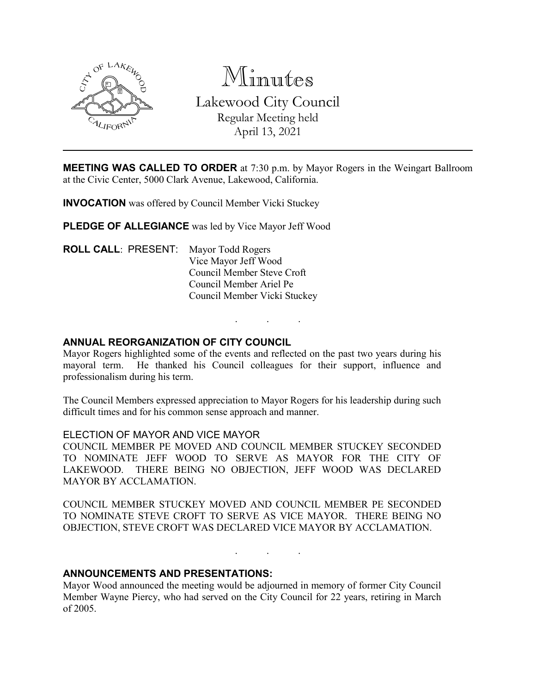

Minutes Lakewood City Council Regular Meeting held April 13, 2021

**MEETING WAS CALLED TO ORDER** at 7:30 p.m. by Mayor Rogers in the Weingart Ballroom at the Civic Center, 5000 Clark Avenue, Lakewood, California.

**INVOCATION** was offered by Council Member Vicki Stuckey

**PLEDGE OF ALLEGIANCE** was led by Vice Mayor Jeff Wood

**ROLL CALL**: PRESENT: Mayor Todd Rogers Vice Mayor Jeff Wood Council Member Steve Croft Council Member Ariel Pe Council Member Vicki Stuckey

## **ANNUAL REORGANIZATION OF CITY COUNCIL**

Mayor Rogers highlighted some of the events and reflected on the past two years during his mayoral term. He thanked his Council colleagues for their support, influence and professionalism during his term.

. . .

The Council Members expressed appreciation to Mayor Rogers for his leadership during such difficult times and for his common sense approach and manner.

#### ELECTION OF MAYOR AND VICE MAYOR

COUNCIL MEMBER PE MOVED AND COUNCIL MEMBER STUCKEY SECONDED TO NOMINATE JEFF WOOD TO SERVE AS MAYOR FOR THE CITY OF LAKEWOOD. THERE BEING NO OBJECTION, JEFF WOOD WAS DECLARED MAYOR BY ACCLAMATION.

COUNCIL MEMBER STUCKEY MOVED AND COUNCIL MEMBER PE SECONDED TO NOMINATE STEVE CROFT TO SERVE AS VICE MAYOR. THERE BEING NO OBJECTION, STEVE CROFT WAS DECLARED VICE MAYOR BY ACCLAMATION.

. . .

## **ANNOUNCEMENTS AND PRESENTATIONS:**

Mayor Wood announced the meeting would be adjourned in memory of former City Council Member Wayne Piercy, who had served on the City Council for 22 years, retiring in March of 2005.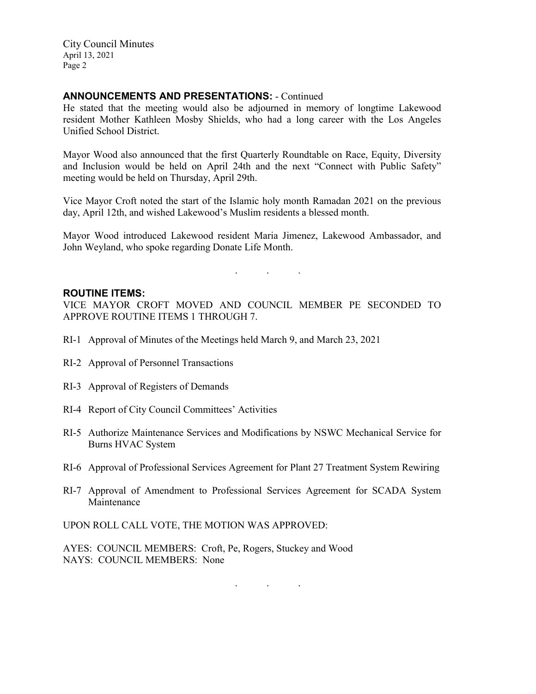City Council Minutes April 13, 2021 Page 2

## **ANNOUNCEMENTS AND PRESENTATIONS:** - Continued

He stated that the meeting would also be adjourned in memory of longtime Lakewood resident Mother Kathleen Mosby Shields, who had a long career with the Los Angeles Unified School District.

Mayor Wood also announced that the first Quarterly Roundtable on Race, Equity, Diversity and Inclusion would be held on April 24th and the next "Connect with Public Safety" meeting would be held on Thursday, April 29th.

Vice Mayor Croft noted the start of the Islamic holy month Ramadan 2021 on the previous day, April 12th, and wished Lakewood's Muslim residents a blessed month.

Mayor Wood introduced Lakewood resident Maria Jimenez, Lakewood Ambassador, and John Weyland, who spoke regarding Donate Life Month.

. . .

#### **ROUTINE ITEMS:**

VICE MAYOR CROFT MOVED AND COUNCIL MEMBER PE SECONDED TO APPROVE ROUTINE ITEMS 1 THROUGH 7.

- RI-1 Approval of Minutes of the Meetings held March 9, and March 23, 2021
- RI-2 Approval of Personnel Transactions
- RI-3 Approval of Registers of Demands
- RI-4 Report of City Council Committees' Activities
- RI-5 Authorize Maintenance Services and Modifications by NSWC Mechanical Service for Burns HVAC System
- RI-6 Approval of Professional Services Agreement for Plant 27 Treatment System Rewiring
- RI-7 Approval of Amendment to Professional Services Agreement for SCADA System Maintenance

UPON ROLL CALL VOTE, THE MOTION WAS APPROVED:

AYES: COUNCIL MEMBERS: Croft, Pe, Rogers, Stuckey and Wood NAYS: COUNCIL MEMBERS: None

. . .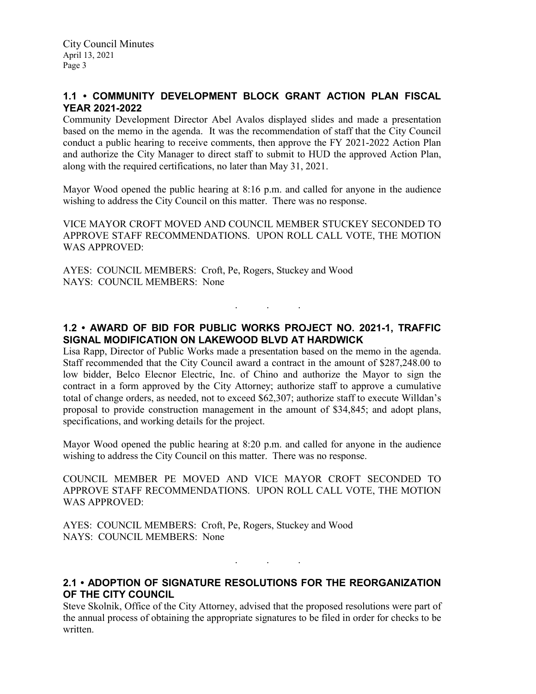# **1.1 • COMMUNITY DEVELOPMENT BLOCK GRANT ACTION PLAN FISCAL YEAR 2021-2022**

Community Development Director Abel Avalos displayed slides and made a presentation based on the memo in the agenda. It was the recommendation of staff that the City Council conduct a public hearing to receive comments, then approve the FY 2021-2022 Action Plan and authorize the City Manager to direct staff to submit to HUD the approved Action Plan, along with the required certifications, no later than May 31, 2021.

Mayor Wood opened the public hearing at 8:16 p.m. and called for anyone in the audience wishing to address the City Council on this matter. There was no response.

VICE MAYOR CROFT MOVED AND COUNCIL MEMBER STUCKEY SECONDED TO APPROVE STAFF RECOMMENDATIONS. UPON ROLL CALL VOTE, THE MOTION WAS APPROVED:

AYES: COUNCIL MEMBERS: Croft, Pe, Rogers, Stuckey and Wood NAYS: COUNCIL MEMBERS: None

# **1.2 • AWARD OF BID FOR PUBLIC WORKS PROJECT NO. 2021-1, TRAFFIC SIGNAL MODIFICATION ON LAKEWOOD BLVD AT HARDWICK**

. . .

Lisa Rapp, Director of Public Works made a presentation based on the memo in the agenda. Staff recommended that the City Council award a contract in the amount of \$287,248.00 to low bidder, Belco Elecnor Electric, Inc. of Chino and authorize the Mayor to sign the contract in a form approved by the City Attorney; authorize staff to approve a cumulative total of change orders, as needed, not to exceed \$62,307; authorize staff to execute Willdan's proposal to provide construction management in the amount of \$34,845; and adopt plans, specifications, and working details for the project.

Mayor Wood opened the public hearing at 8:20 p.m. and called for anyone in the audience wishing to address the City Council on this matter. There was no response.

COUNCIL MEMBER PE MOVED AND VICE MAYOR CROFT SECONDED TO APPROVE STAFF RECOMMENDATIONS. UPON ROLL CALL VOTE, THE MOTION WAS APPROVED:

AYES: COUNCIL MEMBERS: Croft, Pe, Rogers, Stuckey and Wood NAYS: COUNCIL MEMBERS: None

**2.1 • ADOPTION OF SIGNATURE RESOLUTIONS FOR THE REORGANIZATION OF THE CITY COUNCIL**

. . .

Steve Skolnik, Office of the City Attorney, advised that the proposed resolutions were part of the annual process of obtaining the appropriate signatures to be filed in order for checks to be written.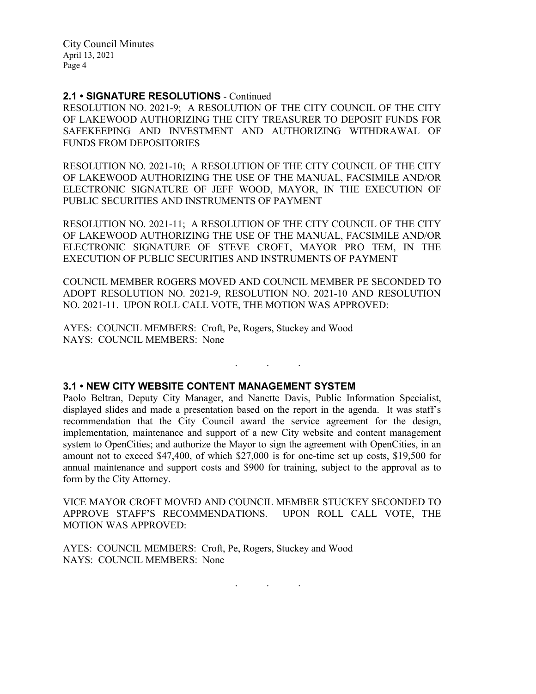City Council Minutes April 13, 2021 Page 4

## **2.1 • SIGNATURE RESOLUTIONS** - Continued

RESOLUTION NO. 2021-9; A RESOLUTION OF THE CITY COUNCIL OF THE CITY OF LAKEWOOD AUTHORIZING THE CITY TREASURER TO DEPOSIT FUNDS FOR SAFEKEEPING AND INVESTMENT AND AUTHORIZING WITHDRAWAL OF FUNDS FROM DEPOSITORIES

RESOLUTION NO. 2021-10; A RESOLUTION OF THE CITY COUNCIL OF THE CITY OF LAKEWOOD AUTHORIZING THE USE OF THE MANUAL, FACSIMILE AND/OR ELECTRONIC SIGNATURE OF JEFF WOOD, MAYOR, IN THE EXECUTION OF PUBLIC SECURITIES AND INSTRUMENTS OF PAYMENT

RESOLUTION NO. 2021-11; A RESOLUTION OF THE CITY COUNCIL OF THE CITY OF LAKEWOOD AUTHORIZING THE USE OF THE MANUAL, FACSIMILE AND/OR ELECTRONIC SIGNATURE OF STEVE CROFT, MAYOR PRO TEM, IN THE EXECUTION OF PUBLIC SECURITIES AND INSTRUMENTS OF PAYMENT

COUNCIL MEMBER ROGERS MOVED AND COUNCIL MEMBER PE SECONDED TO ADOPT RESOLUTION NO. 2021-9, RESOLUTION NO. 2021-10 AND RESOLUTION NO. 2021-11. UPON ROLL CALL VOTE, THE MOTION WAS APPROVED:

. . .

AYES: COUNCIL MEMBERS: Croft, Pe, Rogers, Stuckey and Wood NAYS: COUNCIL MEMBERS: None

## **3.1 • NEW CITY WEBSITE CONTENT MANAGEMENT SYSTEM**

Paolo Beltran, Deputy City Manager, and Nanette Davis, Public Information Specialist, displayed slides and made a presentation based on the report in the agenda. It was staff's recommendation that the City Council award the service agreement for the design, implementation, maintenance and support of a new City website and content management system to OpenCities; and authorize the Mayor to sign the agreement with OpenCities, in an amount not to exceed \$47,400, of which \$27,000 is for one-time set up costs, \$19,500 for annual maintenance and support costs and \$900 for training, subject to the approval as to form by the City Attorney.

VICE MAYOR CROFT MOVED AND COUNCIL MEMBER STUCKEY SECONDED TO APPROVE STAFF'S RECOMMENDATIONS. UPON ROLL CALL VOTE, THE MOTION WAS APPROVED:

AYES: COUNCIL MEMBERS: Croft, Pe, Rogers, Stuckey and Wood NAYS: COUNCIL MEMBERS: None

. . .